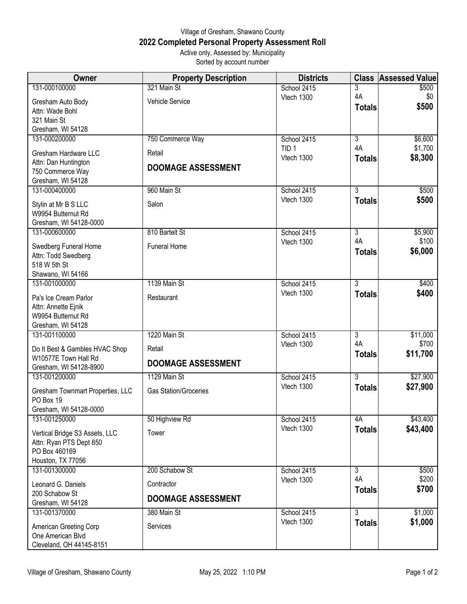## Village of Gresham, Shawano County **2022 Completed Personal Property Assessment Roll** Active only, Assessed by: Municipality

Sorted by account number

| 131-000100000<br>321 Main St<br>\$500<br>School 2415<br>3<br>4A<br>Vtech 1300<br>\$0<br><b>Vehicle Service</b><br>Gresham Auto Body<br>\$500<br><b>Totals</b><br>Attn: Wade Bohl<br>321 Main St<br>Gresham, WI 54128<br>131-000200000<br>$\overline{3}$<br>750 Commerce Way<br>\$6,600<br>School 2415<br>4A<br>\$1,700<br>TID <sub>1</sub><br>Gresham Hardware LLC<br>Retail<br>\$8,300<br>Vtech 1300<br><b>Totals</b><br>Attn: Dan Huntington<br><b>DOOMAGE ASSESSMENT</b><br>750 Commerce Way<br>Gresham, WI 54128<br>$\overline{3}$<br>131-000400000<br>960 Main St<br>School 2415<br>\$500<br>Vtech 1300<br>\$500<br><b>Totals</b><br>Salon<br>Stylin at Mr B S LLC<br>W9954 Butternut Rd<br>Gresham, WI 54128-0000<br>$\overline{3}$<br>131-000600000<br>810 Bartelt St<br>\$5,900<br>School 2415<br>4A<br>\$100<br>Vtech 1300<br><b>Funeral Home</b><br>Swedberg Funeral Home<br>\$6,000<br><b>Totals</b><br>Attn: Todd Swedberg<br>518 W 5th St<br>Shawano, WI 54166<br>1139 Main St<br>$\overline{3}$<br>131-001000000<br>School 2415<br>\$400<br>Vtech 1300<br>\$400<br><b>Totals</b><br>Restaurant<br>Pa's Ice Cream Parlor<br>Attn: Annette Ejnik<br>W9954 Butternut Rd<br>Gresham, WI 54128<br>131-001100000<br>1220 Main St<br>School 2415<br>$\overline{3}$<br>\$11,000<br>4A<br>\$700<br>Vtech 1300<br>Do It Best & Gambles HVAC Shop<br>Retail<br>\$11,700<br><b>Totals</b><br>W10577E Town Hall Rd<br><b>DOOMAGE ASSESSMENT</b><br>Gresham, WI 54128-8900<br>$\overline{3}$<br>131-001200000<br>1129 Main St<br>\$27,900<br>School 2415<br>\$27,900<br>Vtech 1300<br><b>Totals</b><br><b>Gas Station/Groceries</b><br>Gresham Townmart Properties, LLC<br>PO Box 19<br>Gresham, WI 54128-0000<br>131-001250000<br>50 Highview Rd<br>School 2415<br>4A<br>\$43,400<br>Vtech 1300<br>\$43,400<br><b>Totals</b><br>Vertical Bridge S3 Assets, LLC<br>Tower<br>Attn: Ryan PTS Dept 850<br>PO Box 460169<br>Houston, TX 77056<br>200 Schabow St<br>$\overline{3}$<br>131-001300000<br>School 2415<br>\$500<br>\$200<br>4A<br>Vtech 1300<br>Leonard G. Daniels<br>Contractor<br>\$700<br><b>Totals</b><br>200 Schabow St<br><b>DOOMAGE ASSESSMENT</b><br>Gresham, WI 54128<br>131-001370000<br>380 Main St<br>$\overline{3}$<br>\$1,000<br>School 2415<br>\$1,000<br>Vtech 1300<br><b>Totals</b><br>Services<br>American Greeting Corp | Owner | <b>Property Description</b> | <b>Districts</b> | <b>Class</b> | <b>Assessed Value</b> |
|---------------------------------------------------------------------------------------------------------------------------------------------------------------------------------------------------------------------------------------------------------------------------------------------------------------------------------------------------------------------------------------------------------------------------------------------------------------------------------------------------------------------------------------------------------------------------------------------------------------------------------------------------------------------------------------------------------------------------------------------------------------------------------------------------------------------------------------------------------------------------------------------------------------------------------------------------------------------------------------------------------------------------------------------------------------------------------------------------------------------------------------------------------------------------------------------------------------------------------------------------------------------------------------------------------------------------------------------------------------------------------------------------------------------------------------------------------------------------------------------------------------------------------------------------------------------------------------------------------------------------------------------------------------------------------------------------------------------------------------------------------------------------------------------------------------------------------------------------------------------------------------------------------------------------------------------------------------------------------------------------------------------------------------------------------------------------------------------------------------------------------------------------------------------------------------------------------------------------------------------------------------------------------------------------------------------------------------------------|-------|-----------------------------|------------------|--------------|-----------------------|
|                                                                                                                                                                                                                                                                                                                                                                                                                                                                                                                                                                                                                                                                                                                                                                                                                                                                                                                                                                                                                                                                                                                                                                                                                                                                                                                                                                                                                                                                                                                                                                                                                                                                                                                                                                                                                                                                                                                                                                                                                                                                                                                                                                                                                                                                                                                                                   |       |                             |                  |              |                       |
|                                                                                                                                                                                                                                                                                                                                                                                                                                                                                                                                                                                                                                                                                                                                                                                                                                                                                                                                                                                                                                                                                                                                                                                                                                                                                                                                                                                                                                                                                                                                                                                                                                                                                                                                                                                                                                                                                                                                                                                                                                                                                                                                                                                                                                                                                                                                                   |       |                             |                  |              |                       |
|                                                                                                                                                                                                                                                                                                                                                                                                                                                                                                                                                                                                                                                                                                                                                                                                                                                                                                                                                                                                                                                                                                                                                                                                                                                                                                                                                                                                                                                                                                                                                                                                                                                                                                                                                                                                                                                                                                                                                                                                                                                                                                                                                                                                                                                                                                                                                   |       |                             |                  |              |                       |
|                                                                                                                                                                                                                                                                                                                                                                                                                                                                                                                                                                                                                                                                                                                                                                                                                                                                                                                                                                                                                                                                                                                                                                                                                                                                                                                                                                                                                                                                                                                                                                                                                                                                                                                                                                                                                                                                                                                                                                                                                                                                                                                                                                                                                                                                                                                                                   |       |                             |                  |              |                       |
|                                                                                                                                                                                                                                                                                                                                                                                                                                                                                                                                                                                                                                                                                                                                                                                                                                                                                                                                                                                                                                                                                                                                                                                                                                                                                                                                                                                                                                                                                                                                                                                                                                                                                                                                                                                                                                                                                                                                                                                                                                                                                                                                                                                                                                                                                                                                                   |       |                             |                  |              |                       |
|                                                                                                                                                                                                                                                                                                                                                                                                                                                                                                                                                                                                                                                                                                                                                                                                                                                                                                                                                                                                                                                                                                                                                                                                                                                                                                                                                                                                                                                                                                                                                                                                                                                                                                                                                                                                                                                                                                                                                                                                                                                                                                                                                                                                                                                                                                                                                   |       |                             |                  |              |                       |
|                                                                                                                                                                                                                                                                                                                                                                                                                                                                                                                                                                                                                                                                                                                                                                                                                                                                                                                                                                                                                                                                                                                                                                                                                                                                                                                                                                                                                                                                                                                                                                                                                                                                                                                                                                                                                                                                                                                                                                                                                                                                                                                                                                                                                                                                                                                                                   |       |                             |                  |              |                       |
|                                                                                                                                                                                                                                                                                                                                                                                                                                                                                                                                                                                                                                                                                                                                                                                                                                                                                                                                                                                                                                                                                                                                                                                                                                                                                                                                                                                                                                                                                                                                                                                                                                                                                                                                                                                                                                                                                                                                                                                                                                                                                                                                                                                                                                                                                                                                                   |       |                             |                  |              |                       |
|                                                                                                                                                                                                                                                                                                                                                                                                                                                                                                                                                                                                                                                                                                                                                                                                                                                                                                                                                                                                                                                                                                                                                                                                                                                                                                                                                                                                                                                                                                                                                                                                                                                                                                                                                                                                                                                                                                                                                                                                                                                                                                                                                                                                                                                                                                                                                   |       |                             |                  |              |                       |
|                                                                                                                                                                                                                                                                                                                                                                                                                                                                                                                                                                                                                                                                                                                                                                                                                                                                                                                                                                                                                                                                                                                                                                                                                                                                                                                                                                                                                                                                                                                                                                                                                                                                                                                                                                                                                                                                                                                                                                                                                                                                                                                                                                                                                                                                                                                                                   |       |                             |                  |              |                       |
|                                                                                                                                                                                                                                                                                                                                                                                                                                                                                                                                                                                                                                                                                                                                                                                                                                                                                                                                                                                                                                                                                                                                                                                                                                                                                                                                                                                                                                                                                                                                                                                                                                                                                                                                                                                                                                                                                                                                                                                                                                                                                                                                                                                                                                                                                                                                                   |       |                             |                  |              |                       |
|                                                                                                                                                                                                                                                                                                                                                                                                                                                                                                                                                                                                                                                                                                                                                                                                                                                                                                                                                                                                                                                                                                                                                                                                                                                                                                                                                                                                                                                                                                                                                                                                                                                                                                                                                                                                                                                                                                                                                                                                                                                                                                                                                                                                                                                                                                                                                   |       |                             |                  |              |                       |
|                                                                                                                                                                                                                                                                                                                                                                                                                                                                                                                                                                                                                                                                                                                                                                                                                                                                                                                                                                                                                                                                                                                                                                                                                                                                                                                                                                                                                                                                                                                                                                                                                                                                                                                                                                                                                                                                                                                                                                                                                                                                                                                                                                                                                                                                                                                                                   |       |                             |                  |              |                       |
|                                                                                                                                                                                                                                                                                                                                                                                                                                                                                                                                                                                                                                                                                                                                                                                                                                                                                                                                                                                                                                                                                                                                                                                                                                                                                                                                                                                                                                                                                                                                                                                                                                                                                                                                                                                                                                                                                                                                                                                                                                                                                                                                                                                                                                                                                                                                                   |       |                             |                  |              |                       |
|                                                                                                                                                                                                                                                                                                                                                                                                                                                                                                                                                                                                                                                                                                                                                                                                                                                                                                                                                                                                                                                                                                                                                                                                                                                                                                                                                                                                                                                                                                                                                                                                                                                                                                                                                                                                                                                                                                                                                                                                                                                                                                                                                                                                                                                                                                                                                   |       |                             |                  |              |                       |
|                                                                                                                                                                                                                                                                                                                                                                                                                                                                                                                                                                                                                                                                                                                                                                                                                                                                                                                                                                                                                                                                                                                                                                                                                                                                                                                                                                                                                                                                                                                                                                                                                                                                                                                                                                                                                                                                                                                                                                                                                                                                                                                                                                                                                                                                                                                                                   |       |                             |                  |              |                       |
|                                                                                                                                                                                                                                                                                                                                                                                                                                                                                                                                                                                                                                                                                                                                                                                                                                                                                                                                                                                                                                                                                                                                                                                                                                                                                                                                                                                                                                                                                                                                                                                                                                                                                                                                                                                                                                                                                                                                                                                                                                                                                                                                                                                                                                                                                                                                                   |       |                             |                  |              |                       |
|                                                                                                                                                                                                                                                                                                                                                                                                                                                                                                                                                                                                                                                                                                                                                                                                                                                                                                                                                                                                                                                                                                                                                                                                                                                                                                                                                                                                                                                                                                                                                                                                                                                                                                                                                                                                                                                                                                                                                                                                                                                                                                                                                                                                                                                                                                                                                   |       |                             |                  |              |                       |
|                                                                                                                                                                                                                                                                                                                                                                                                                                                                                                                                                                                                                                                                                                                                                                                                                                                                                                                                                                                                                                                                                                                                                                                                                                                                                                                                                                                                                                                                                                                                                                                                                                                                                                                                                                                                                                                                                                                                                                                                                                                                                                                                                                                                                                                                                                                                                   |       |                             |                  |              |                       |
|                                                                                                                                                                                                                                                                                                                                                                                                                                                                                                                                                                                                                                                                                                                                                                                                                                                                                                                                                                                                                                                                                                                                                                                                                                                                                                                                                                                                                                                                                                                                                                                                                                                                                                                                                                                                                                                                                                                                                                                                                                                                                                                                                                                                                                                                                                                                                   |       |                             |                  |              |                       |
|                                                                                                                                                                                                                                                                                                                                                                                                                                                                                                                                                                                                                                                                                                                                                                                                                                                                                                                                                                                                                                                                                                                                                                                                                                                                                                                                                                                                                                                                                                                                                                                                                                                                                                                                                                                                                                                                                                                                                                                                                                                                                                                                                                                                                                                                                                                                                   |       |                             |                  |              |                       |
|                                                                                                                                                                                                                                                                                                                                                                                                                                                                                                                                                                                                                                                                                                                                                                                                                                                                                                                                                                                                                                                                                                                                                                                                                                                                                                                                                                                                                                                                                                                                                                                                                                                                                                                                                                                                                                                                                                                                                                                                                                                                                                                                                                                                                                                                                                                                                   |       |                             |                  |              |                       |
|                                                                                                                                                                                                                                                                                                                                                                                                                                                                                                                                                                                                                                                                                                                                                                                                                                                                                                                                                                                                                                                                                                                                                                                                                                                                                                                                                                                                                                                                                                                                                                                                                                                                                                                                                                                                                                                                                                                                                                                                                                                                                                                                                                                                                                                                                                                                                   |       |                             |                  |              |                       |
|                                                                                                                                                                                                                                                                                                                                                                                                                                                                                                                                                                                                                                                                                                                                                                                                                                                                                                                                                                                                                                                                                                                                                                                                                                                                                                                                                                                                                                                                                                                                                                                                                                                                                                                                                                                                                                                                                                                                                                                                                                                                                                                                                                                                                                                                                                                                                   |       |                             |                  |              |                       |
|                                                                                                                                                                                                                                                                                                                                                                                                                                                                                                                                                                                                                                                                                                                                                                                                                                                                                                                                                                                                                                                                                                                                                                                                                                                                                                                                                                                                                                                                                                                                                                                                                                                                                                                                                                                                                                                                                                                                                                                                                                                                                                                                                                                                                                                                                                                                                   |       |                             |                  |              |                       |
|                                                                                                                                                                                                                                                                                                                                                                                                                                                                                                                                                                                                                                                                                                                                                                                                                                                                                                                                                                                                                                                                                                                                                                                                                                                                                                                                                                                                                                                                                                                                                                                                                                                                                                                                                                                                                                                                                                                                                                                                                                                                                                                                                                                                                                                                                                                                                   |       |                             |                  |              |                       |
|                                                                                                                                                                                                                                                                                                                                                                                                                                                                                                                                                                                                                                                                                                                                                                                                                                                                                                                                                                                                                                                                                                                                                                                                                                                                                                                                                                                                                                                                                                                                                                                                                                                                                                                                                                                                                                                                                                                                                                                                                                                                                                                                                                                                                                                                                                                                                   |       |                             |                  |              |                       |
|                                                                                                                                                                                                                                                                                                                                                                                                                                                                                                                                                                                                                                                                                                                                                                                                                                                                                                                                                                                                                                                                                                                                                                                                                                                                                                                                                                                                                                                                                                                                                                                                                                                                                                                                                                                                                                                                                                                                                                                                                                                                                                                                                                                                                                                                                                                                                   |       |                             |                  |              |                       |
|                                                                                                                                                                                                                                                                                                                                                                                                                                                                                                                                                                                                                                                                                                                                                                                                                                                                                                                                                                                                                                                                                                                                                                                                                                                                                                                                                                                                                                                                                                                                                                                                                                                                                                                                                                                                                                                                                                                                                                                                                                                                                                                                                                                                                                                                                                                                                   |       |                             |                  |              |                       |
|                                                                                                                                                                                                                                                                                                                                                                                                                                                                                                                                                                                                                                                                                                                                                                                                                                                                                                                                                                                                                                                                                                                                                                                                                                                                                                                                                                                                                                                                                                                                                                                                                                                                                                                                                                                                                                                                                                                                                                                                                                                                                                                                                                                                                                                                                                                                                   |       |                             |                  |              |                       |
|                                                                                                                                                                                                                                                                                                                                                                                                                                                                                                                                                                                                                                                                                                                                                                                                                                                                                                                                                                                                                                                                                                                                                                                                                                                                                                                                                                                                                                                                                                                                                                                                                                                                                                                                                                                                                                                                                                                                                                                                                                                                                                                                                                                                                                                                                                                                                   |       |                             |                  |              |                       |
|                                                                                                                                                                                                                                                                                                                                                                                                                                                                                                                                                                                                                                                                                                                                                                                                                                                                                                                                                                                                                                                                                                                                                                                                                                                                                                                                                                                                                                                                                                                                                                                                                                                                                                                                                                                                                                                                                                                                                                                                                                                                                                                                                                                                                                                                                                                                                   |       |                             |                  |              |                       |
|                                                                                                                                                                                                                                                                                                                                                                                                                                                                                                                                                                                                                                                                                                                                                                                                                                                                                                                                                                                                                                                                                                                                                                                                                                                                                                                                                                                                                                                                                                                                                                                                                                                                                                                                                                                                                                                                                                                                                                                                                                                                                                                                                                                                                                                                                                                                                   |       |                             |                  |              |                       |
|                                                                                                                                                                                                                                                                                                                                                                                                                                                                                                                                                                                                                                                                                                                                                                                                                                                                                                                                                                                                                                                                                                                                                                                                                                                                                                                                                                                                                                                                                                                                                                                                                                                                                                                                                                                                                                                                                                                                                                                                                                                                                                                                                                                                                                                                                                                                                   |       |                             |                  |              |                       |
|                                                                                                                                                                                                                                                                                                                                                                                                                                                                                                                                                                                                                                                                                                                                                                                                                                                                                                                                                                                                                                                                                                                                                                                                                                                                                                                                                                                                                                                                                                                                                                                                                                                                                                                                                                                                                                                                                                                                                                                                                                                                                                                                                                                                                                                                                                                                                   |       |                             |                  |              |                       |
|                                                                                                                                                                                                                                                                                                                                                                                                                                                                                                                                                                                                                                                                                                                                                                                                                                                                                                                                                                                                                                                                                                                                                                                                                                                                                                                                                                                                                                                                                                                                                                                                                                                                                                                                                                                                                                                                                                                                                                                                                                                                                                                                                                                                                                                                                                                                                   |       |                             |                  |              |                       |
|                                                                                                                                                                                                                                                                                                                                                                                                                                                                                                                                                                                                                                                                                                                                                                                                                                                                                                                                                                                                                                                                                                                                                                                                                                                                                                                                                                                                                                                                                                                                                                                                                                                                                                                                                                                                                                                                                                                                                                                                                                                                                                                                                                                                                                                                                                                                                   |       |                             |                  |              |                       |
|                                                                                                                                                                                                                                                                                                                                                                                                                                                                                                                                                                                                                                                                                                                                                                                                                                                                                                                                                                                                                                                                                                                                                                                                                                                                                                                                                                                                                                                                                                                                                                                                                                                                                                                                                                                                                                                                                                                                                                                                                                                                                                                                                                                                                                                                                                                                                   |       |                             |                  |              |                       |
|                                                                                                                                                                                                                                                                                                                                                                                                                                                                                                                                                                                                                                                                                                                                                                                                                                                                                                                                                                                                                                                                                                                                                                                                                                                                                                                                                                                                                                                                                                                                                                                                                                                                                                                                                                                                                                                                                                                                                                                                                                                                                                                                                                                                                                                                                                                                                   |       |                             |                  |              |                       |
|                                                                                                                                                                                                                                                                                                                                                                                                                                                                                                                                                                                                                                                                                                                                                                                                                                                                                                                                                                                                                                                                                                                                                                                                                                                                                                                                                                                                                                                                                                                                                                                                                                                                                                                                                                                                                                                                                                                                                                                                                                                                                                                                                                                                                                                                                                                                                   |       |                             |                  |              |                       |
|                                                                                                                                                                                                                                                                                                                                                                                                                                                                                                                                                                                                                                                                                                                                                                                                                                                                                                                                                                                                                                                                                                                                                                                                                                                                                                                                                                                                                                                                                                                                                                                                                                                                                                                                                                                                                                                                                                                                                                                                                                                                                                                                                                                                                                                                                                                                                   |       |                             |                  |              |                       |
|                                                                                                                                                                                                                                                                                                                                                                                                                                                                                                                                                                                                                                                                                                                                                                                                                                                                                                                                                                                                                                                                                                                                                                                                                                                                                                                                                                                                                                                                                                                                                                                                                                                                                                                                                                                                                                                                                                                                                                                                                                                                                                                                                                                                                                                                                                                                                   |       |                             |                  |              |                       |
|                                                                                                                                                                                                                                                                                                                                                                                                                                                                                                                                                                                                                                                                                                                                                                                                                                                                                                                                                                                                                                                                                                                                                                                                                                                                                                                                                                                                                                                                                                                                                                                                                                                                                                                                                                                                                                                                                                                                                                                                                                                                                                                                                                                                                                                                                                                                                   |       |                             |                  |              |                       |
| One American Blvd<br>Cleveland, OH 44145-8151                                                                                                                                                                                                                                                                                                                                                                                                                                                                                                                                                                                                                                                                                                                                                                                                                                                                                                                                                                                                                                                                                                                                                                                                                                                                                                                                                                                                                                                                                                                                                                                                                                                                                                                                                                                                                                                                                                                                                                                                                                                                                                                                                                                                                                                                                                     |       |                             |                  |              |                       |